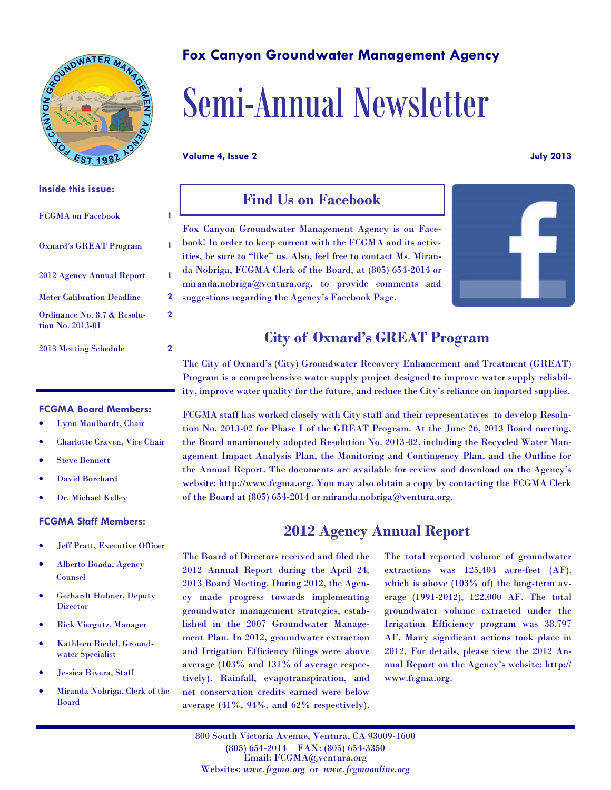

# **Fox Canyon Groundwater Management Agency**

# Semi-Annual Newsletter

**Volume 4, Issue 2 July 2013**

**2**

#### **Inside this issue:**

| <b>FCGMA</b> on Facebook                        |   |
|-------------------------------------------------|---|
| <b>Oxnard's GREAT Program</b>                   |   |
| 2012 Agency Annual Report                       | 1 |
| <b>Meter Calibration Deadline</b>               | 2 |
| Ordinance No. 8.7 & Resolu-<br>tion No. 2013-01 | 2 |

### 2013 Meeting Schedule **2**

## **FCGMA Board Members:**

- Lynn Maulhardt, Chair
- Charlotte Craven, Vice Chair
- Steve Bennett
- David Borchard
- Dr. Michael Kelley

#### **FCGMA Staff Members:**

- Jeff Pratt, Executive Officer
- Alberto Boada, Agency Counsel
- Gerhardt Hubner, Deputy **Director**
- Rick Viergutz, Manager
- Kathleen Riedel, Groundwater Specialist
- Jessica Rivera, Staff
- Miranda Nobriga, Clerk of the Board

# **Find Us on Facebook**

Fox Canyon Groundwater Management Agency is on Facebook! In order to keep current with the FCGMA and its activities, be sure to "like" us. Also, feel free to contact Ms. Miranda Nobriga, FCGMA Clerk of the Board, at (805) 654-2014 or miranda.nobriga@ventura.org, to provide comments and suggestions regarding the Agency's Facebook Page.



# **City of Oxnard's GREAT Program**

The City of Oxnard's (City) Groundwater Recovery Enhancement and Treatment (GREAT) Program is a comprehensive water supply project designed to improve water supply reliability, improve water quality for the future, and reduce the City's reliance on imported supplies.

FCGMA staff has worked closely with City staff and their representatives to develop Resolution No. 2013-02 for Phase I of the GREAT Program. At the June 26, 2013 Board meeting, the Board unanimously adopted Resolution No. 2013-02, including the Recycled Water Management Impact Analysis Plan, the Monitoring and Contingency Plan, and the Outline for the Annual Report. The documents are available for review and download on the Agency's website: http://www.fcgma.org. You may also obtain a copy by contacting the FCGMA Clerk of the Board at  $(805)$  654-2014 or miranda.nobriga@ventura.org.

# **2012 Agency Annual Report**

The Board of Directors received and filed the 2012 Annual Report during the April 24, 2013 Board Meeting. During 2012, the Agency made progress towards implementing groundwater management strategies, established in the 2007 Groundwater Management Plan. In 2012, groundwater extraction and Irrigation Efficiency filings were above average (103% and 131% of average respectively). Rainfall, evapotranspiration, and net conservation credits earned were below average (41%, 94%, and 62% respectively). The total reported volume of groundwater extractions was 125,404 acre-feet (AF), which is above (103% of) the long-term average (1991-2012), 122,000 AF. The total groundwater volume extracted under the Irrigation Efficiency program was 38,797 AF. Many significant actions took place in 2012. For details, please view the 2012 Annual Report on the Agency's website: http:// www.fcgma.org.